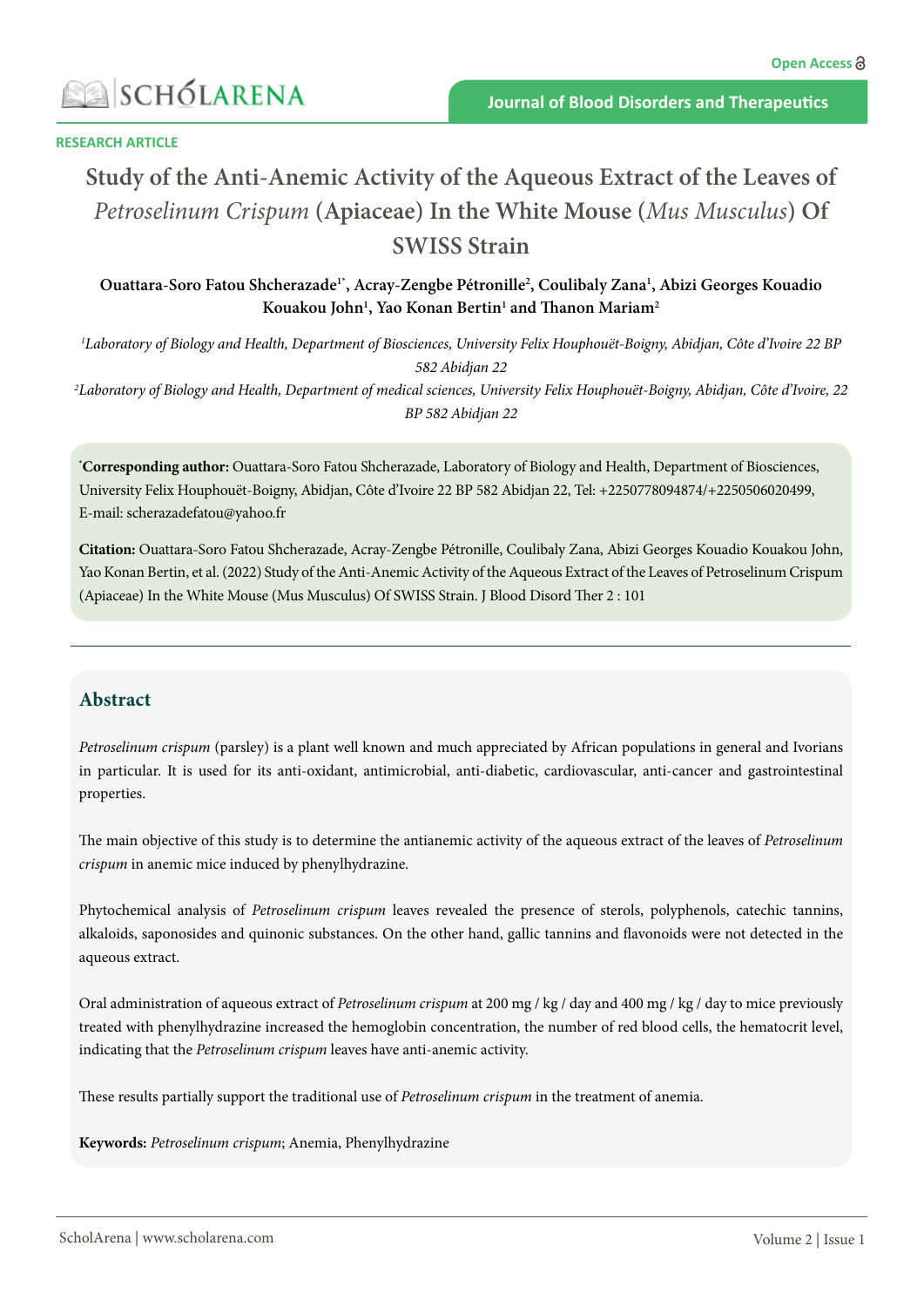### **RESEARCH ARTICLE**

# **Study of the Anti-Anemic Activity of the Aqueous Extract of the Leaves of**  *Petroselinum Crispum* **(Apiaceae) In the White Mouse (***Mus Musculus***) Of SWISS Strain**

**Ouattara-Soro Fatou Shcherazade1\*, Acray-Zengbe Pétronille2 , Coulibaly Zana1 , Abizi Georges Kouadio Kouakou John1 , Yao Konan Bertin1 and Thanon Mariam2**

*1 Laboratory of Biology and Health, Department of Biosciences, University Felix Houphouët-Boigny, Abidjan, Côte d'Ivoire 22 BP 582 Abidjan 22*

*2 Laboratory of Biology and Health, Department of medical sciences, University Felix Houphouët-Boigny, Abidjan, Côte d'Ivoire, 22 BP 582 Abidjan 22*

**\* Corresponding author:** Ouattara-Soro Fatou Shcherazade, Laboratory of Biology and Health, Department of Biosciences, University Felix Houphouët-Boigny, Abidjan, Côte d'Ivoire 22 BP 582 Abidjan 22, Tel: +2250778094874/+2250506020499, E-mail: [scherazadefatou@yahoo.fr](mailto:scherazadefatou@yahoo.fr)

**Citation:** Ouattara-Soro Fatou Shcherazade, Acray-Zengbe Pétronille, Coulibaly Zana, Abizi Georges Kouadio Kouakou John, Yao Konan Bertin, et al. (2022) Study of the Anti-Anemic Activity of the Aqueous Extract of the Leaves of Petroselinum Crispum (Apiaceae) In the White Mouse (Mus Musculus) Of SWISS Strain. J Blood Disord Ther 2 : 101

# **Abstract**

*Petroselinum crispum* (parsley) is a plant well known and much appreciated by African populations in general and Ivorians in particular. It is used for its anti-oxidant, antimicrobial, anti-diabetic, cardiovascular, anti-cancer and gastrointestinal properties.

The main objective of this study is to determine the antianemic activity of the aqueous extract of the leaves of *Petroselinum crispum* in anemic mice induced by phenylhydrazine.

Phytochemical analysis of *Petroselinum crispum* leaves revealed the presence of sterols, polyphenols, catechic tannins, alkaloids, saponosides and quinonic substances. On the other hand, gallic tannins and flavonoids were not detected in the aqueous extract.

Oral administration of aqueous extract of *Petroselinum crispum* at 200 mg / kg / day and 400 mg / kg / day to mice previously treated with phenylhydrazine increased the hemoglobin concentration, the number of red blood cells, the hematocrit level, indicating that the *Petroselinum crispum* leaves have anti-anemic activity.

These results partially support the traditional use of *Petroselinum crispum* in the treatment of anemia.

**Keywords:** *Petroselinum crispum*; Anemia, Phenylhydrazine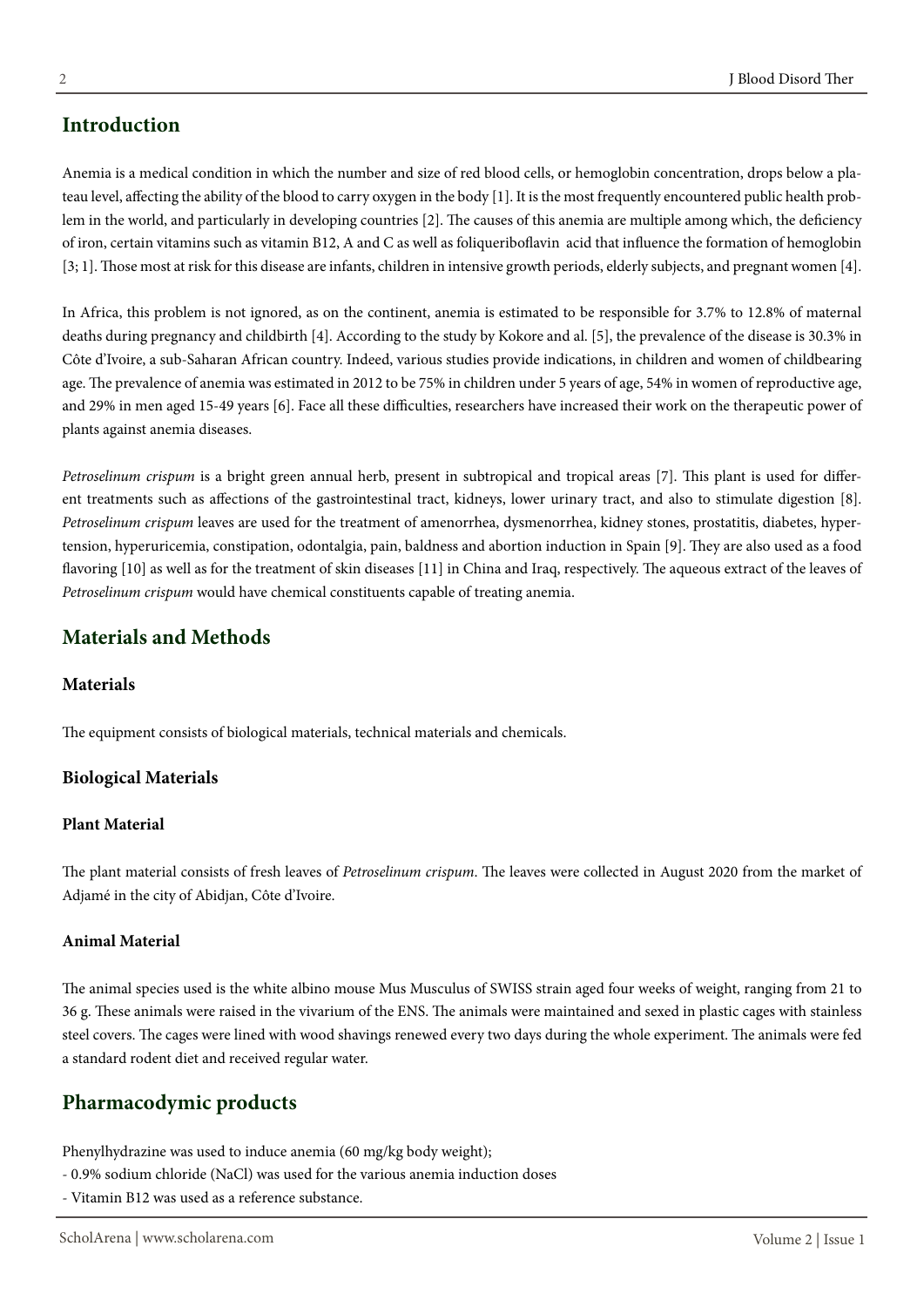# **Introduction**

Anemia is a medical condition in which the number and size of red blood cells, or hemoglobin concentration, drops below a plateau level, affecting the ability of the blood to carry oxygen in the body [1]. It is the most frequently encountered public health problem in the world, and particularly in developing countries [2]. The causes of this anemia are multiple among which, the deficiency of iron, certain vitamins such as vitamin B12, A and C as well as foliqueriboflavin acid that influence the formation of hemoglobin [3; 1]. Those most at risk for this disease are infants, children in intensive growth periods, elderly subjects, and pregnant women [4].

In Africa, this problem is not ignored, as on the continent, anemia is estimated to be responsible for 3.7% to 12.8% of maternal deaths during pregnancy and childbirth [4]. According to the study by Kokore and al. [5], the prevalence of the disease is 30.3% in Côte d'Ivoire, a sub-Saharan African country. Indeed, various studies provide indications, in children and women of childbearing age. The prevalence of anemia was estimated in 2012 to be 75% in children under 5 years of age, 54% in women of reproductive age, and 29% in men aged 15-49 years [6]. Face all these difficulties, researchers have increased their work on the therapeutic power of plants against anemia diseases.

*Petroselinum crispum* is a bright green annual herb, present in subtropical and tropical areas [7]. This plant is used for different treatments such as affections of the gastrointestinal tract, kidneys, lower urinary tract, and also to stimulate digestion [8]. *Petroselinum crispum* leaves are used for the treatment of amenorrhea, dysmenorrhea, kidney stones, prostatitis, diabetes, hypertension, hyperuricemia, constipation, odontalgia, pain, baldness and abortion induction in Spain [9]. They are also used as a food flavoring [10] as well as for the treatment of skin diseases [11] in China and Iraq, respectively. The aqueous extract of the leaves of *Petroselinum crispum* would have chemical constituents capable of treating anemia.

# **Materials and Methods**

### **Materials**

The equipment consists of biological materials, technical materials and chemicals.

### **Biological Materials**

### **Plant Material**

The plant material consists of fresh leaves of *Petroselinum crispum*. The leaves were collected in August 2020 from the market of Adjamé in the city of Abidjan, Côte d'Ivoire.

### **Animal Material**

The animal species used is the white albino mouse Mus Musculus of SWISS strain aged four weeks of weight, ranging from 21 to 36 g. These animals were raised in the vivarium of the ENS. The animals were maintained and sexed in plastic cages with stainless steel covers. The cages were lined with wood shavings renewed every two days during the whole experiment. The animals were fed a standard rodent diet and received regular water.

# **Pharmacodymic products**

Phenylhydrazine was used to induce anemia (60 mg/kg body weight);

- 0.9% sodium chloride (NaCl) was used for the various anemia induction doses
- Vitamin B12 was used as a reference substance.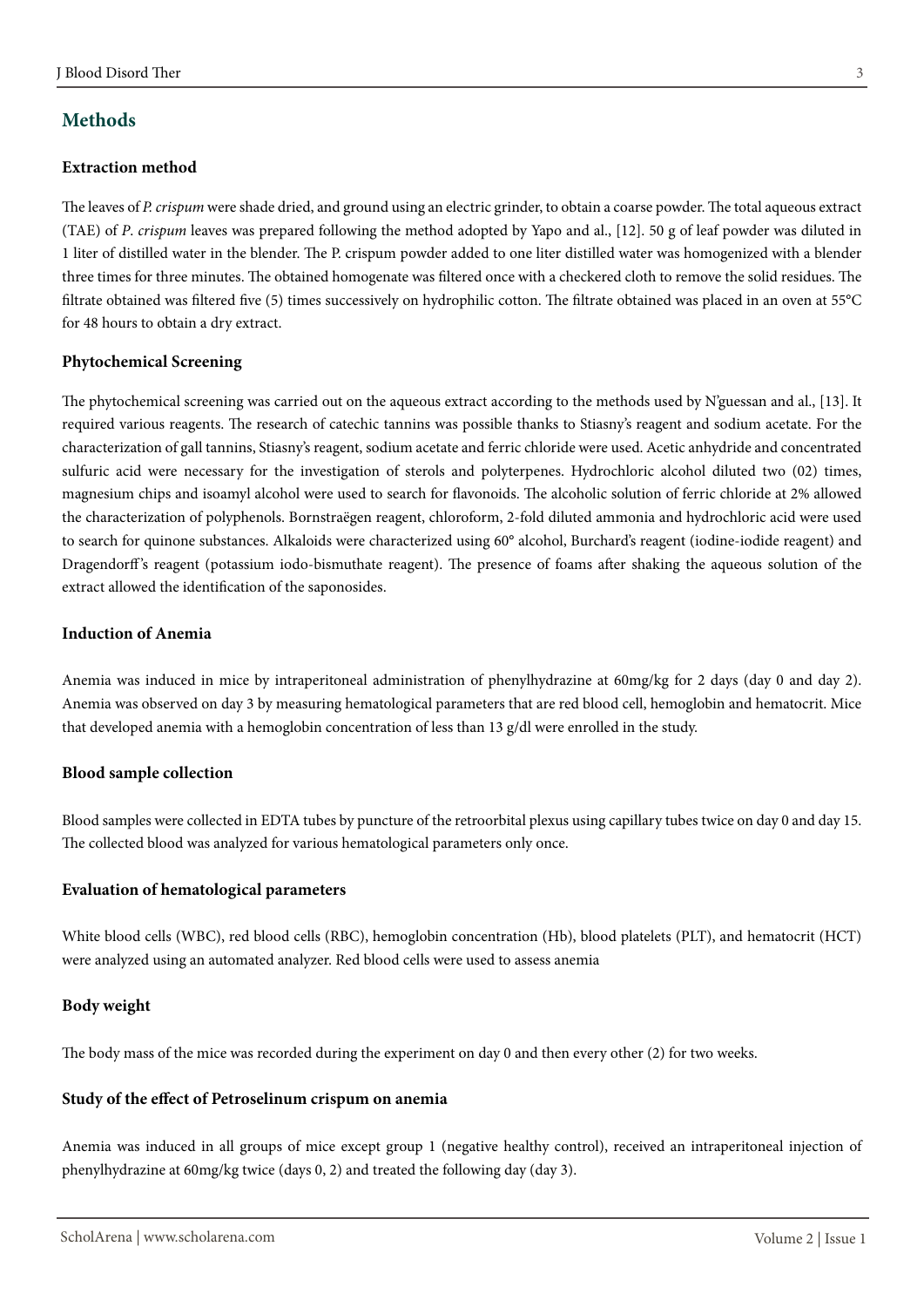# **Methods**

### **Extraction method**

The leaves of *P. crispum* were shade dried, and ground using an electric grinder, to obtain a coarse powder. The total aqueous extract (TAE) of *P*. *crispum* leaves was prepared following the method adopted by Yapo and al., [12]. 50 g of leaf powder was diluted in 1 liter of distilled water in the blender. The P. crispum powder added to one liter distilled water was homogenized with a blender three times for three minutes. The obtained homogenate was filtered once with a checkered cloth to remove the solid residues. The filtrate obtained was filtered five (5) times successively on hydrophilic cotton. The filtrate obtained was placed in an oven at 55°C for 48 hours to obtain a dry extract.

### **Phytochemical Screening**

The phytochemical screening was carried out on the aqueous extract according to the methods used by N'guessan and al., [13]. It required various reagents. The research of catechic tannins was possible thanks to Stiasny's reagent and sodium acetate. For the characterization of gall tannins, Stiasny's reagent, sodium acetate and ferric chloride were used. Acetic anhydride and concentrated sulfuric acid were necessary for the investigation of sterols and polyterpenes. Hydrochloric alcohol diluted two (02) times, magnesium chips and isoamyl alcohol were used to search for flavonoids. The alcoholic solution of ferric chloride at 2% allowed the characterization of polyphenols. Bornstraëgen reagent, chloroform, 2-fold diluted ammonia and hydrochloric acid were used to search for quinone substances. Alkaloids were characterized using 60° alcohol, Burchard's reagent (iodine-iodide reagent) and Dragendorff's reagent (potassium iodo-bismuthate reagent). The presence of foams after shaking the aqueous solution of the extract allowed the identification of the saponosides.

### **Induction of Anemia**

Anemia was induced in mice by intraperitoneal administration of phenylhydrazine at 60mg/kg for 2 days (day 0 and day 2). Anemia was observed on day 3 by measuring hematological parameters that are red blood cell, hemoglobin and hematocrit. Mice that developed anemia with a hemoglobin concentration of less than 13 g/dl were enrolled in the study.

### **Blood sample collection**

Blood samples were collected in EDTA tubes by puncture of the retroorbital plexus using capillary tubes twice on day 0 and day 15. The collected blood was analyzed for various hematological parameters only once.

### **Evaluation of hematological parameters**

White blood cells (WBC), red blood cells (RBC), hemoglobin concentration (Hb), blood platelets (PLT), and hematocrit (HCT) were analyzed using an automated analyzer. Red blood cells were used to assess anemia

### **Body weight**

The body mass of the mice was recorded during the experiment on day 0 and then every other (2) for two weeks.

### **Study of the effect of Petroselinum crispum on anemia**

Anemia was induced in all groups of mice except group 1 (negative healthy control), received an intraperitoneal injection of phenylhydrazine at 60mg/kg twice (days 0, 2) and treated the following day (day 3).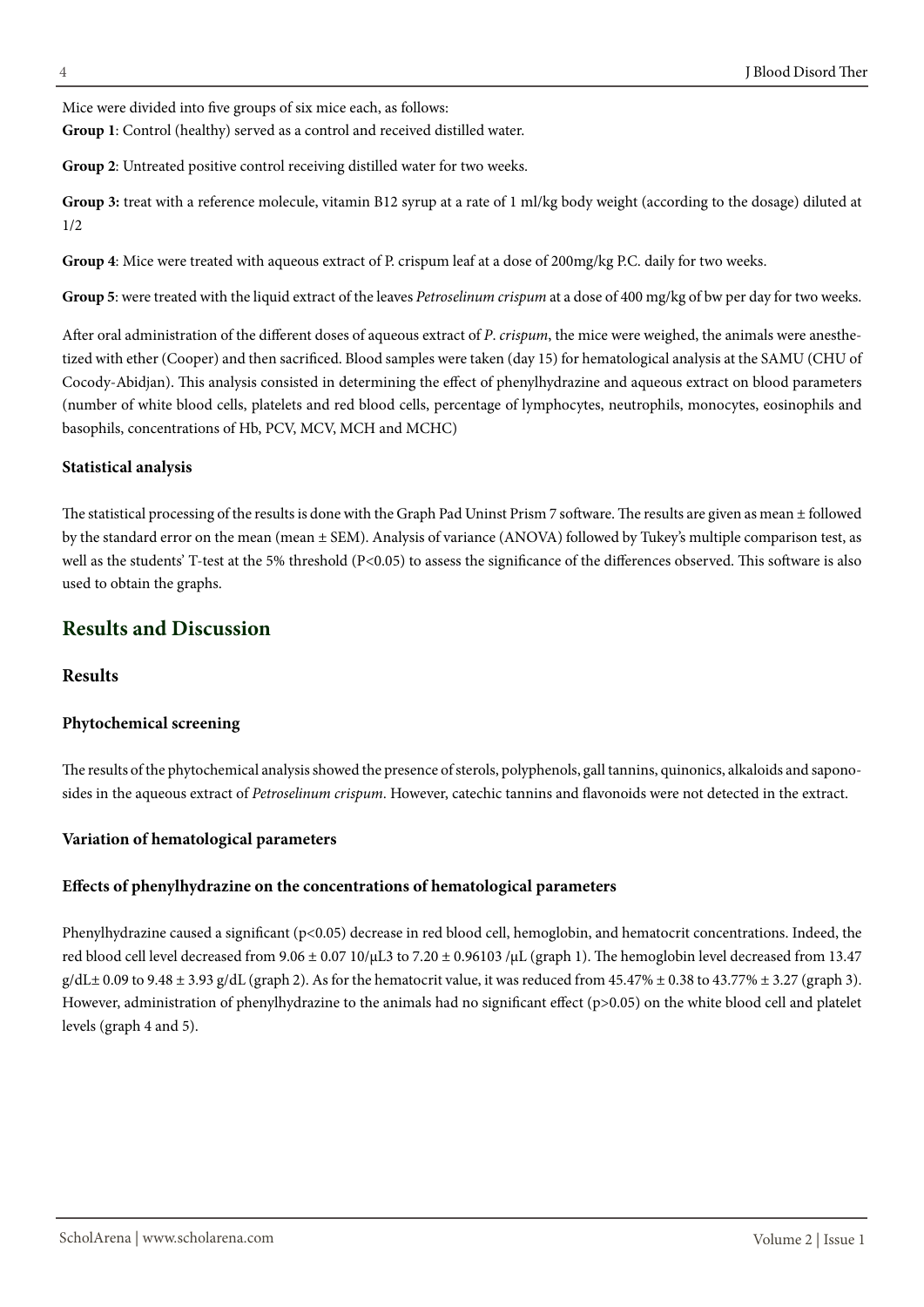Mice were divided into five groups of six mice each, as follows:

**Group 1**: Control (healthy) served as a control and received distilled water.

**Group 2**: Untreated positive control receiving distilled water for two weeks.

**Group 3:** treat with a reference molecule, vitamin B12 syrup at a rate of 1 ml/kg body weight (according to the dosage) diluted at 1/2

**Group 4**: Mice were treated with aqueous extract of P. crispum leaf at a dose of 200mg/kg P.C. daily for two weeks.

**Group 5**: were treated with the liquid extract of the leaves *Petroselinum crispum* at a dose of 400 mg/kg of bw per day for two weeks.

After oral administration of the different doses of aqueous extract of *P*. *crispum*, the mice were weighed, the animals were anesthetized with ether (Cooper) and then sacrificed. Blood samples were taken (day 15) for hematological analysis at the SAMU (CHU of Cocody-Abidjan). This analysis consisted in determining the effect of phenylhydrazine and aqueous extract on blood parameters (number of white blood cells, platelets and red blood cells, percentage of lymphocytes, neutrophils, monocytes, eosinophils and basophils, concentrations of Hb, PCV, MCV, MCH and MCHC)

### **Statistical analysis**

The statistical processing of the results is done with the Graph Pad Uninst Prism 7 software. The results are given as mean ± followed by the standard error on the mean (mean ± SEM). Analysis of variance (ANOVA) followed by Tukey's multiple comparison test, as well as the students' T-test at the 5% threshold (P<0.05) to assess the significance of the differences observed. This software is also used to obtain the graphs.

# **Results and Discussion**

# **Results**

### **Phytochemical screening**

The results of the phytochemical analysis showed the presence of sterols, polyphenols, gall tannins, quinonics, alkaloids and saponosides in the aqueous extract of *Petroselinum crispum*. However, catechic tannins and flavonoids were not detected in the extract.

# **Variation of hematological parameters**

# **Effects of phenylhydrazine on the concentrations of hematological parameters**

Phenylhydrazine caused a significant (p<0.05) decrease in red blood cell, hemoglobin, and hematocrit concentrations. Indeed, the red blood cell level decreased from 9.06 ± 0.07 10/μL3 to 7.20 ± 0.96103 /μL (graph 1). The hemoglobin level decreased from 13.47  $g/dL \pm 0.09$  to  $9.48 \pm 3.93$  g/dL (graph 2). As for the hematocrit value, it was reduced from  $45.47\% \pm 0.38$  to  $43.77\% \pm 3.27$  (graph 3). However, administration of phenylhydrazine to the animals had no significant effect (p>0.05) on the white blood cell and platelet levels (graph 4 and 5).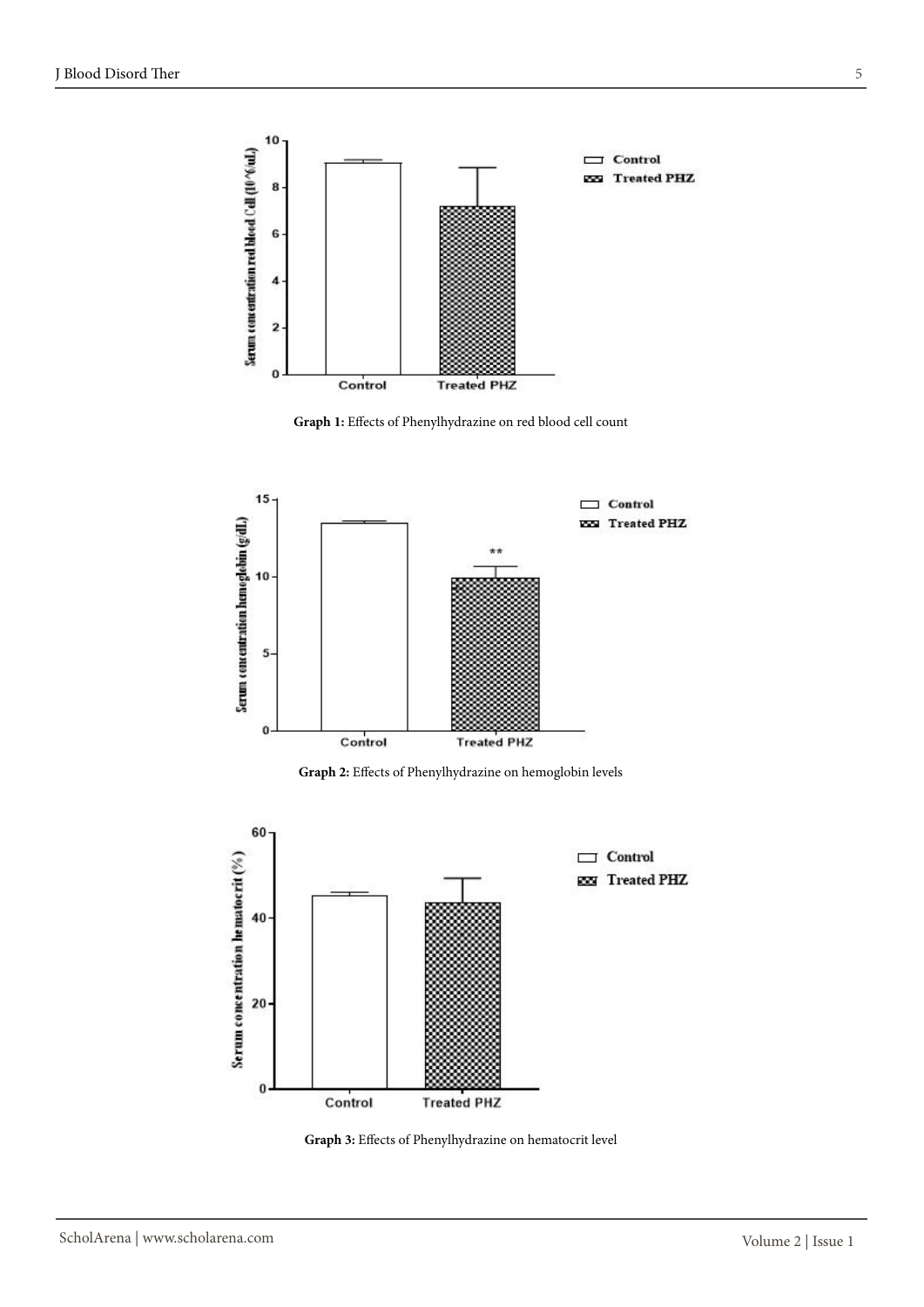

**Graph 1:** Effects of Phenylhydrazine on red blood cell count



**Graph 2:** Effects of Phenylhydrazine on hemoglobin levels



**Graph 3:** Effects of Phenylhydrazine on hematocrit level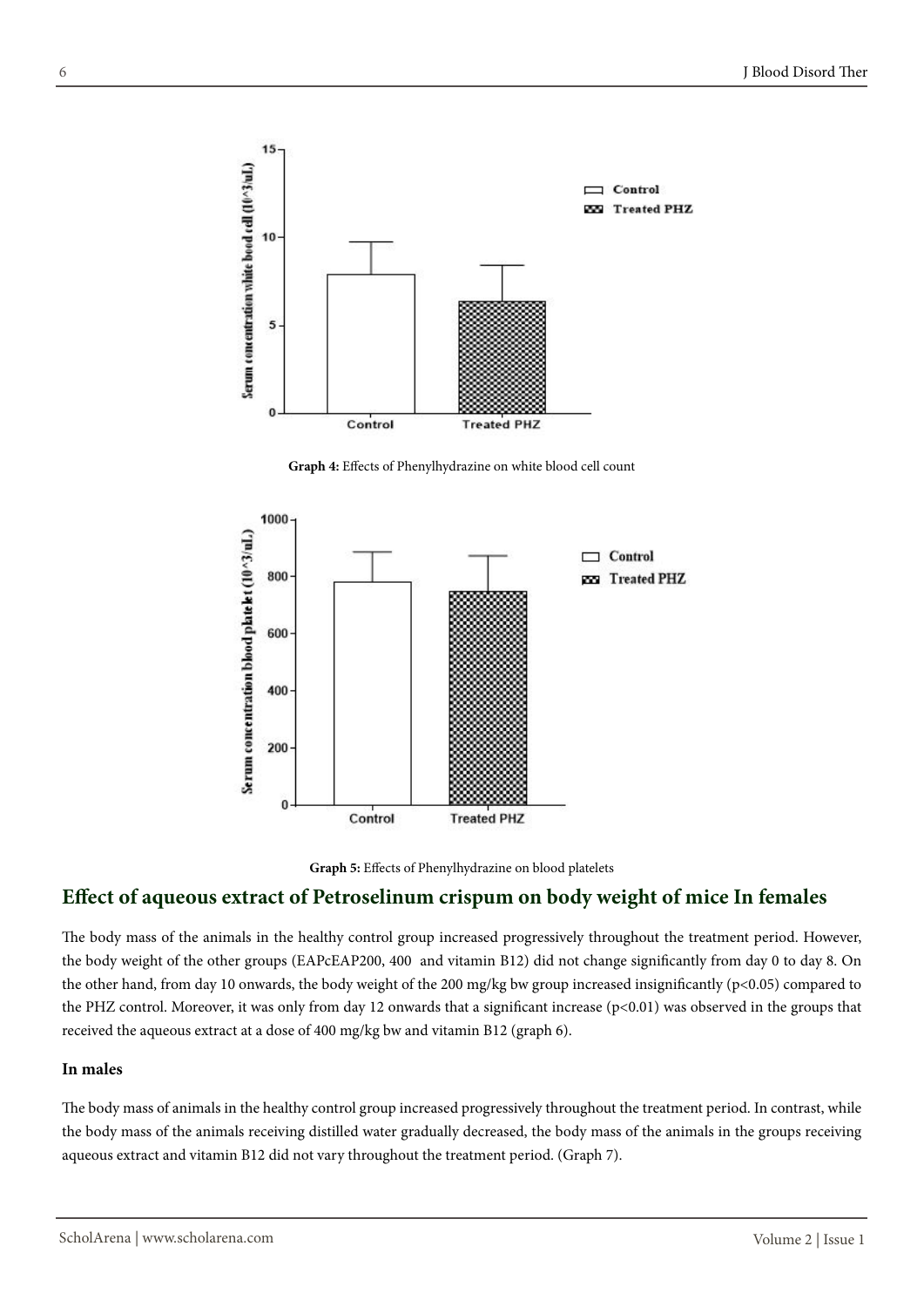

**Graph 4:** Effects of Phenylhydrazine on white blood cell count



**Graph 5:** Effects of Phenylhydrazine on blood platelets

# **Effect of aqueous extract of Petroselinum crispum on body weight of mice In females**

The body mass of the animals in the healthy control group increased progressively throughout the treatment period. However, the body weight of the other groups (EAPcEAP200, 400 and vitamin B12) did not change significantly from day 0 to day 8. On the other hand, from day 10 onwards, the body weight of the 200 mg/kg bw group increased insignificantly (p<0.05) compared to the PHZ control. Moreover, it was only from day 12 onwards that a significant increase (p<0.01) was observed in the groups that received the aqueous extract at a dose of 400 mg/kg bw and vitamin B12 (graph 6).

### **In males**

The body mass of animals in the healthy control group increased progressively throughout the treatment period. In contrast, while the body mass of the animals receiving distilled water gradually decreased, the body mass of the animals in the groups receiving aqueous extract and vitamin B12 did not vary throughout the treatment period. (Graph 7).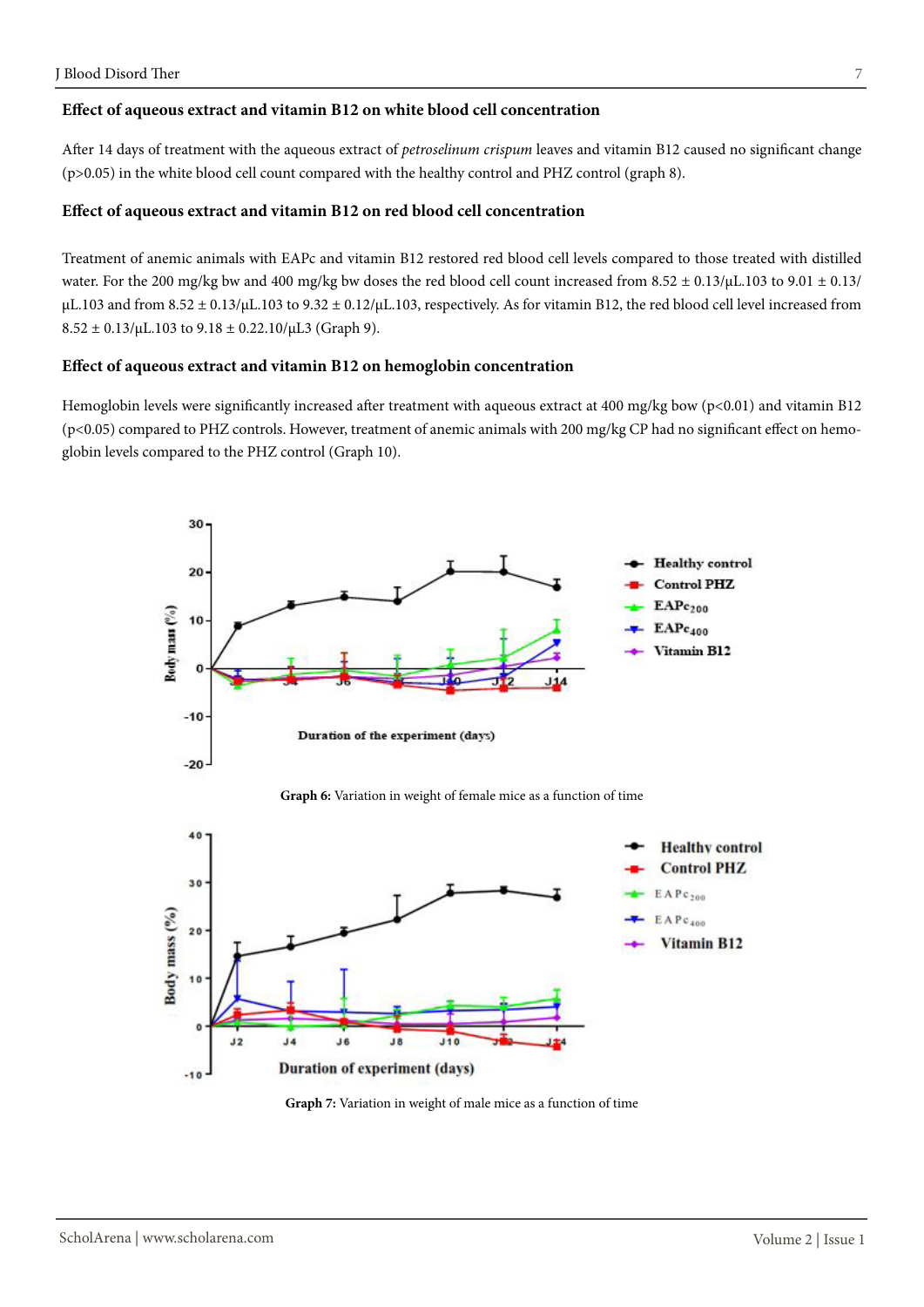### **Effect of aqueous extract and vitamin B12 on white blood cell concentration**

After 14 days of treatment with the aqueous extract of *petroselinum crispum* leaves and vitamin B12 caused no significant change (p>0.05) in the white blood cell count compared with the healthy control and PHZ control (graph 8).

# **Effect of aqueous extract and vitamin B12 on red blood cell concentration**

Treatment of anemic animals with EAPc and vitamin B12 restored red blood cell levels compared to those treated with distilled water. For the 200 mg/kg bw and 400 mg/kg bw doses the red blood cell count increased from  $8.52 \pm 0.13/\mu L$ .103 to  $9.01 \pm 0.13/\mu L$  $\mu$ L.103 and from 8.52  $\pm$  0.13/ $\mu$ L.103 to 9.32  $\pm$  0.12/ $\mu$ L.103, respectively. As for vitamin B12, the red blood cell level increased from  $8.52 \pm 0.13/\mu L.103$  to  $9.18 \pm 0.22.10/\mu L3$  (Graph 9).

### **Effect of aqueous extract and vitamin B12 on hemoglobin concentration**

Hemoglobin levels were significantly increased after treatment with aqueous extract at 400 mg/kg bow (p<0.01) and vitamin B12 (p<0.05) compared to PHZ controls. However, treatment of anemic animals with 200 mg/kg CP had no significant effect on hemoglobin levels compared to the PHZ control (Graph 10).



**Graph 6:** Variation in weight of female mice as a function of time



**Graph 7:** Variation in weight of male mice as a function of time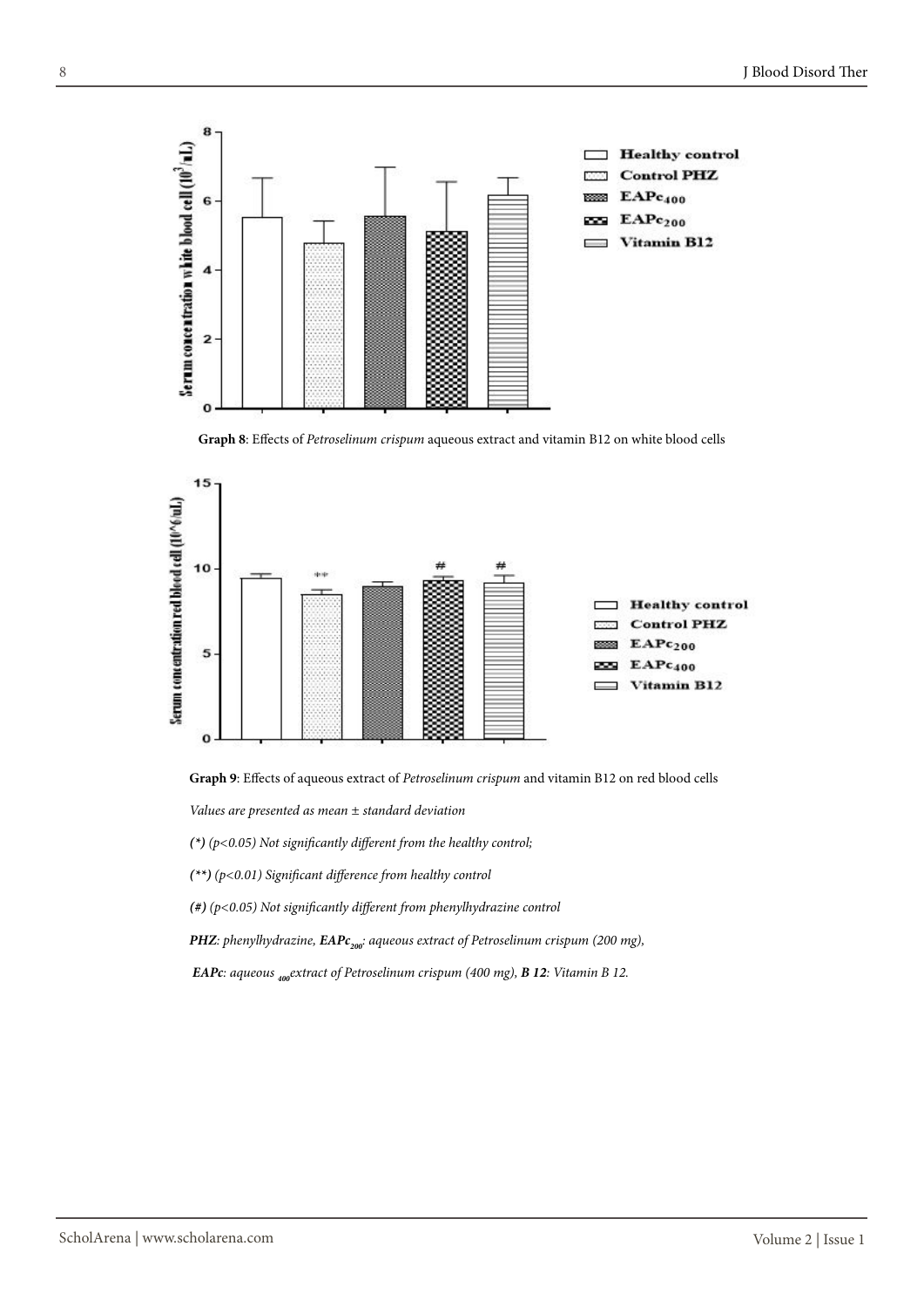





**Graph 9**: Effects of aqueous extract of *Petroselinum crispum* and vitamin B12 on red blood cells

*Values are presented as mean ± standard deviation* 

*(\*) (p<0.05) Not significantly different from the healthy control;* 

*(\*\*) (p<0.01) Significant difference from healthy control*

*(#) (p<0.05) Not significantly different from phenylhydrazine control*

*PHZ: phenylhydrazine, EAPc<sub>200</sub><sup>2</sup>: aqueous extract of Petroselinum crispum (200 mg),* 

 *EAPc: aqueous 400extract of Petroselinum crispum (400 mg), B 12: Vitamin B 12.*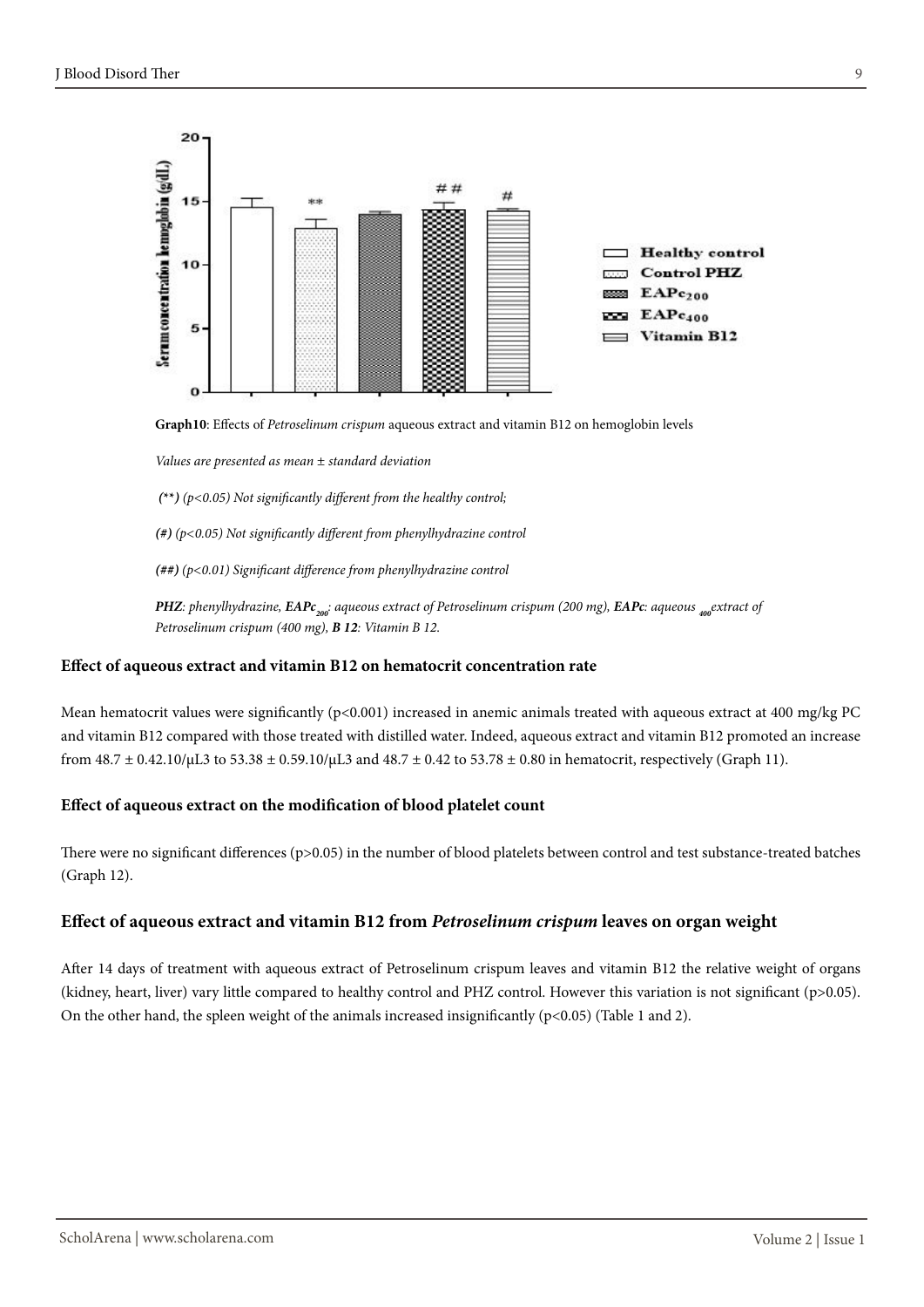

**Graph10**: Effects of *Petroselinum crispum* aqueous extract and vitamin B12 on hemoglobin levels

*Values are presented as mean ± standard deviation* 

 *(***\*\****) (p<0.05) Not significantly different from the healthy control;* 

*(#) (p<0.05) Not significantly different from phenylhydrazine control*

*(##) (p<0.01) Significant difference from phenylhydrazine control*

*PHZ: phenylhydrazine, <i>EAPc<sub>200</sub>: aqueous extract of Petroselinum crispum (200 mg), EAPc: aqueous <sub><i>400</sub>*extract of</sub> *Petroselinum crispum (400 mg), B 12: Vitamin B 12*.

### **Effect of aqueous extract and vitamin B12 on hematocrit concentration rate**

Mean hematocrit values were significantly (p<0.001) increased in anemic animals treated with aqueous extract at 400 mg/kg PC and vitamin B12 compared with those treated with distilled water. Indeed, aqueous extract and vitamin B12 promoted an increase from 48.7 ± 0.42.10/μL3 to 53.38 ± 0.59.10/μL3 and 48.7 ± 0.42 to 53.78 ± 0.80 in hematocrit, respectively (Graph 11).

### **Effect of aqueous extract on the modification of blood platelet count**

There were no significant differences (p>0.05) in the number of blood platelets between control and test substance-treated batches (Graph 12).

### **Effect of aqueous extract and vitamin B12 from** *Petroselinum crispum* **leaves on organ weight**

After 14 days of treatment with aqueous extract of Petroselinum crispum leaves and vitamin B12 the relative weight of organs (kidney, heart, liver) vary little compared to healthy control and PHZ control. However this variation is not significant (p>0.05). On the other hand, the spleen weight of the animals increased insignificantly  $(p<0.05)$  (Table 1 and 2).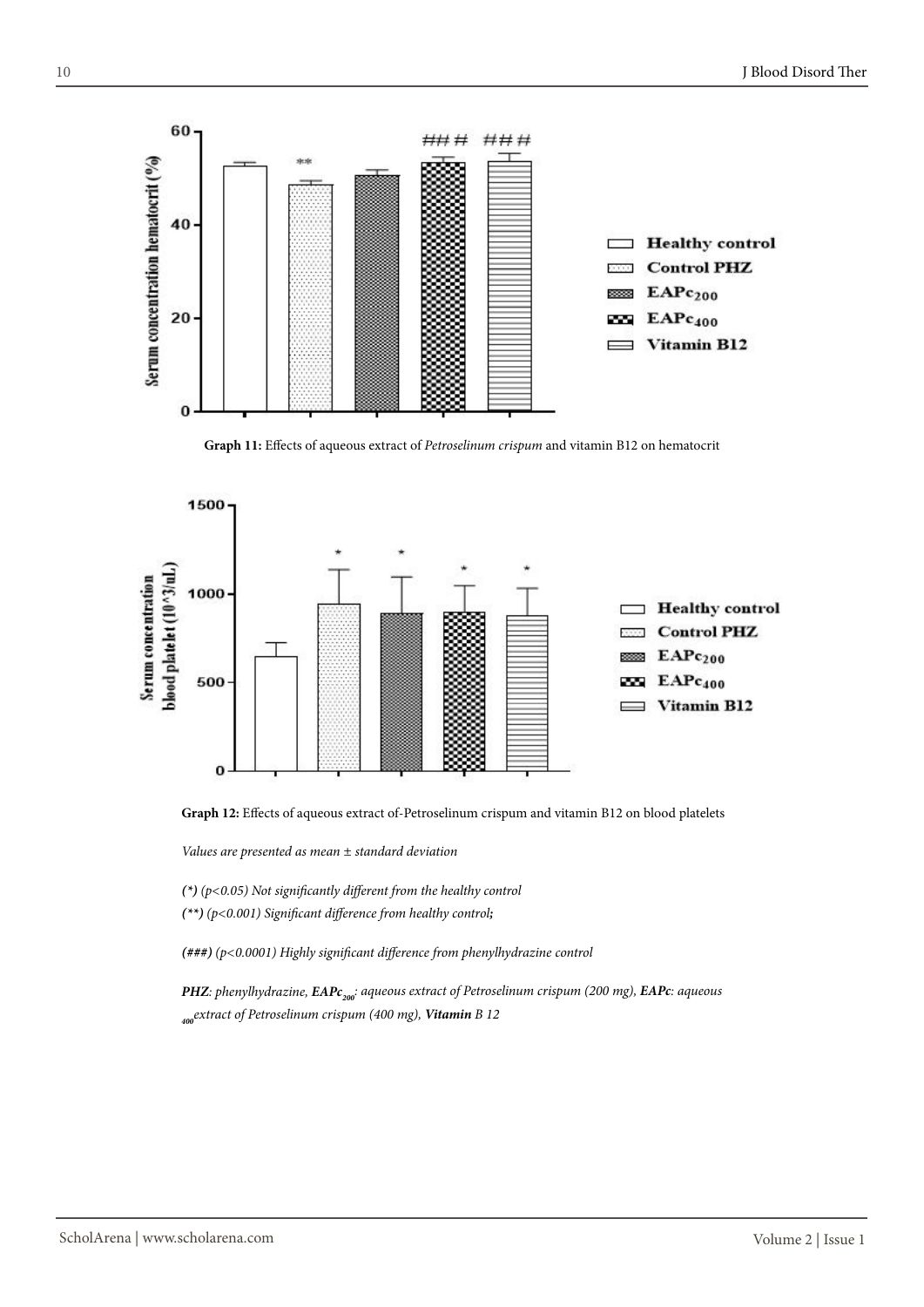

**Graph 11:** Effects of aqueous extract of *Petroselinum crispum* and vitamin B12 on hematocrit





*Values are presented as mean ± standard deviation* 

*(\*) (p<0.05) Not significantly different from the healthy control*

*(\*\*) (p<0.001) Significant difference from healthy control;* 

*(###) (p<0.0001) Highly significant difference from phenylhydrazine control*

*PHZ: phenylhydrazine, <i>EAPc<sub>200</sub>: aqueous extract of Petroselinum crispum (200 mg), EAPc: aqueous 400extract of Petroselinum crispum (400 mg), Vitamin B 12*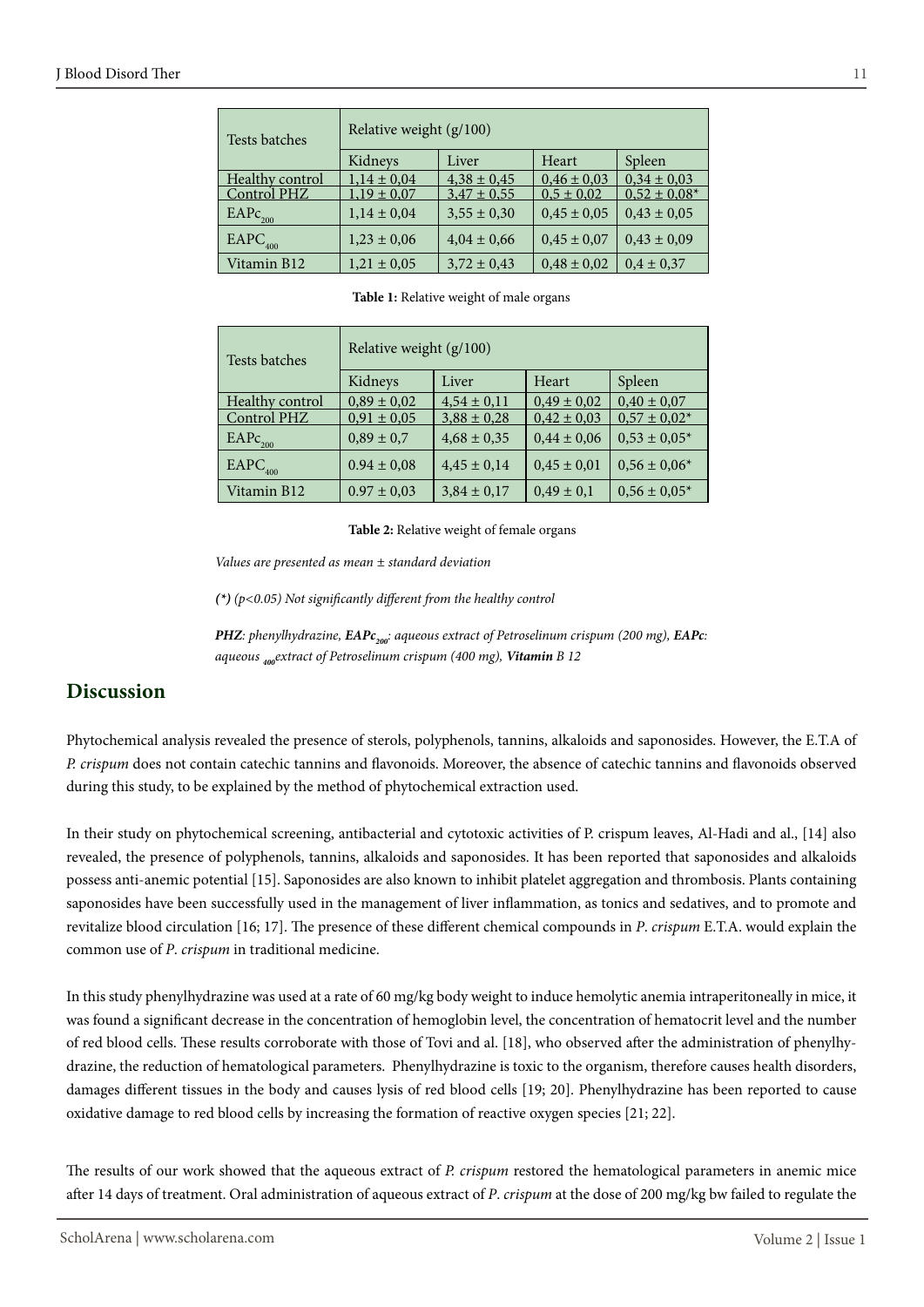| Tests batches   | Relative weight (g/100) |                 |                 |                   |
|-----------------|-------------------------|-----------------|-----------------|-------------------|
|                 | Kidneys                 | Liver           | Heart           | Spleen            |
| Healthy control | $1,14 \pm 0,04$         | $4,38 \pm 0,45$ | $0.46 \pm 0.03$ | $0,34 \pm 0,03$   |
| Control PHZ     | $1,19 \pm 0,07$         | $3,47 \pm 0,55$ | $0.5 \pm 0.02$  | $0.52 \pm 0.08^*$ |
| $EAPc_{200}$    | $1,14 \pm 0,04$         | $3,55 \pm 0,30$ | $0,45 \pm 0,05$ | $0.43 \pm 0.05$   |
| $EAPC_{400}$    | $1,23 \pm 0,06$         | $4,04 \pm 0,66$ | $0.45 \pm 0.07$ | $0,43 \pm 0,09$   |
| Vitamin B12     | $1,21 \pm 0,05$         | $3,72 \pm 0,43$ | $0.48 \pm 0.02$ | $0.4 \pm 0.37$    |

**Table 1:** Relative weight of male organs

| Tests batches       | Relative weight (g/100) |                 |                 |                   |  |
|---------------------|-------------------------|-----------------|-----------------|-------------------|--|
|                     | Kidneys                 | Liver           | Heart           | Spleen            |  |
| Healthy control     | $0,89 \pm 0,02$         | $4,54 \pm 0,11$ | $0.49 \pm 0.02$ | $0.40 \pm 0.07$   |  |
| Control PHZ         | $0,91 \pm 0,05$         | $3,88 \pm 0,28$ | $0,42 \pm 0,03$ | $0.57 \pm 0.02*$  |  |
| EAPc <sub>200</sub> | $0.89 \pm 0.7$          | $4,68 \pm 0,35$ | $0.44 \pm 0.06$ | $0,53 \pm 0,05^*$ |  |
| $EAPC_{400}$        | $0.94 \pm 0.08$         | $4,45 \pm 0,14$ | $0.45 \pm 0.01$ | $0,56 \pm 0,06^*$ |  |
| Vitamin B12         | $0.97 \pm 0.03$         | $3,84 \pm 0,17$ | $0.49 \pm 0.1$  | $0.56 \pm 0.05*$  |  |

### **Table 2:** Relative weight of female organs

*Values are presented as mean ± standard deviation* 

*(\*) (p<0.05) Not significantly different from the healthy control*

*PHZ: phenylhydrazine, EAPc<sub>200</sub><sup><i>: aqueous extract of Petroselinum crispum (200 mg), EAPc:*</sup> *aqueous 400extract of Petroselinum crispum (400 mg), Vitamin B 12*

# **Discussion**

Phytochemical analysis revealed the presence of sterols, polyphenols, tannins, alkaloids and saponosides. However, the E.T.A of *P. crispum* does not contain catechic tannins and flavonoids. Moreover, the absence of catechic tannins and flavonoids observed during this study, to be explained by the method of phytochemical extraction used.

In their study on phytochemical screening, antibacterial and cytotoxic activities of P. crispum leaves, Al-Hadi and al., [14] also revealed, the presence of polyphenols, tannins, alkaloids and saponosides. It has been reported that saponosides and alkaloids possess anti-anemic potential [15]. Saponosides are also known to inhibit platelet aggregation and thrombosis. Plants containing saponosides have been successfully used in the management of liver inflammation, as tonics and sedatives, and to promote and revitalize blood circulation [16; 17]. The presence of these different chemical compounds in *P*. *crispum* E.T.A. would explain the common use of *P*. *crispum* in traditional medicine.

In this study phenylhydrazine was used at a rate of 60 mg/kg body weight to induce hemolytic anemia intraperitoneally in mice, it was found a significant decrease in the concentration of hemoglobin level, the concentration of hematocrit level and the number of red blood cells. These results corroborate with those of Tovi and al. [18], who observed after the administration of phenylhydrazine, the reduction of hematological parameters. Phenylhydrazine is toxic to the organism, therefore causes health disorders, damages different tissues in the body and causes lysis of red blood cells [19; 20]. Phenylhydrazine has been reported to cause oxidative damage to red blood cells by increasing the formation of reactive oxygen species [21; 22].

The results of our work showed that the aqueous extract of *P. crispum* restored the hematological parameters in anemic mice after 14 days of treatment. Oral administration of aqueous extract of *P*. *crispum* at the dose of 200 mg/kg bw failed to regulate the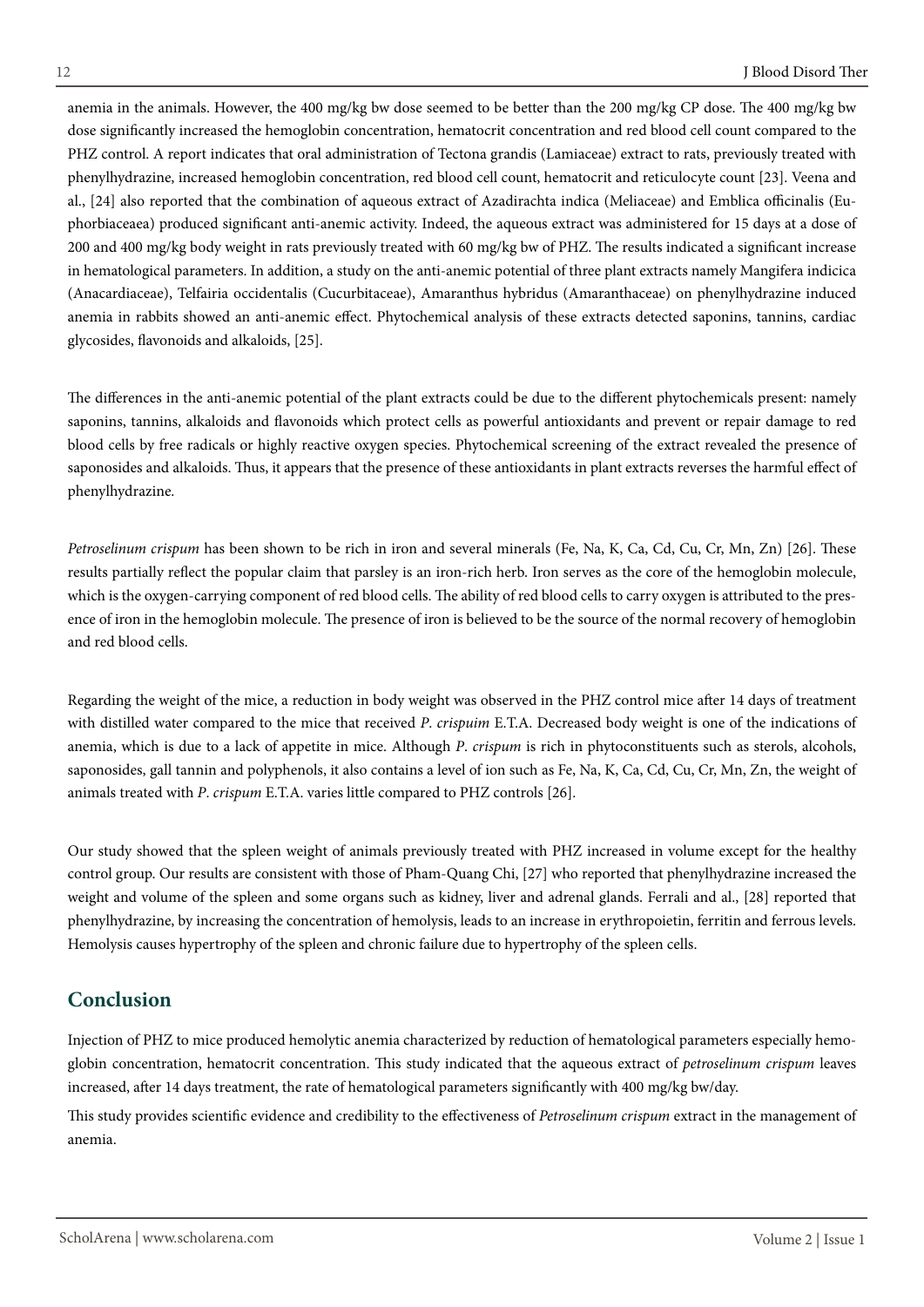anemia in the animals. However, the 400 mg/kg bw dose seemed to be better than the 200 mg/kg CP dose. The 400 mg/kg bw dose significantly increased the hemoglobin concentration, hematocrit concentration and red blood cell count compared to the PHZ control. A report indicates that oral administration of Tectona grandis (Lamiaceae) extract to rats, previously treated with phenylhydrazine, increased hemoglobin concentration, red blood cell count, hematocrit and reticulocyte count [23]. Veena and al., [24] also reported that the combination of aqueous extract of Azadirachta indica (Meliaceae) and Emblica officinalis (Euphorbiaceaea) produced significant anti-anemic activity. Indeed, the aqueous extract was administered for 15 days at a dose of 200 and 400 mg/kg body weight in rats previously treated with 60 mg/kg bw of PHZ. The results indicated a significant increase in hematological parameters. In addition, a study on the anti-anemic potential of three plant extracts namely Mangifera indicica (Anacardiaceae), Telfairia occidentalis (Cucurbitaceae), Amaranthus hybridus (Amaranthaceae) on phenylhydrazine induced anemia in rabbits showed an anti-anemic effect. Phytochemical analysis of these extracts detected saponins, tannins, cardiac glycosides, flavonoids and alkaloids, [25].

The differences in the anti-anemic potential of the plant extracts could be due to the different phytochemicals present: namely saponins, tannins, alkaloids and flavonoids which protect cells as powerful antioxidants and prevent or repair damage to red blood cells by free radicals or highly reactive oxygen species. Phytochemical screening of the extract revealed the presence of saponosides and alkaloids. Thus, it appears that the presence of these antioxidants in plant extracts reverses the harmful effect of phenylhydrazine.

*Petroselinum crispum* has been shown to be rich in iron and several minerals (Fe, Na, K, Ca, Cd, Cu, Cr, Mn, Zn) [26]. These results partially reflect the popular claim that parsley is an iron-rich herb. Iron serves as the core of the hemoglobin molecule, which is the oxygen-carrying component of red blood cells. The ability of red blood cells to carry oxygen is attributed to the presence of iron in the hemoglobin molecule. The presence of iron is believed to be the source of the normal recovery of hemoglobin and red blood cells.

Regarding the weight of the mice, a reduction in body weight was observed in the PHZ control mice after 14 days of treatment with distilled water compared to the mice that received *P*. *crispuim* E.T.A. Decreased body weight is one of the indications of anemia, which is due to a lack of appetite in mice. Although *P*. *crispum* is rich in phytoconstituents such as sterols, alcohols, saponosides, gall tannin and polyphenols, it also contains a level of ion such as Fe, Na, K, Ca, Cd, Cu, Cr, Mn, Zn, the weight of animals treated with *P*. *crispum* E.T.A. varies little compared to PHZ controls [26].

Our study showed that the spleen weight of animals previously treated with PHZ increased in volume except for the healthy control group. Our results are consistent with those of Pham-Quang Chi, [27] who reported that phenylhydrazine increased the weight and volume of the spleen and some organs such as kidney, liver and adrenal glands. Ferrali and al., [28] reported that phenylhydrazine, by increasing the concentration of hemolysis, leads to an increase in erythropoietin, ferritin and ferrous levels. Hemolysis causes hypertrophy of the spleen and chronic failure due to hypertrophy of the spleen cells.

# **Conclusion**

Injection of PHZ to mice produced hemolytic anemia characterized by reduction of hematological parameters especially hemoglobin concentration, hematocrit concentration. This study indicated that the aqueous extract of *petroselinum crispum* leaves increased, after 14 days treatment, the rate of hematological parameters significantly with 400 mg/kg bw/day.

This study provides scientific evidence and credibility to the effectiveness of *Petroselinum crispum* extract in the management of anemia.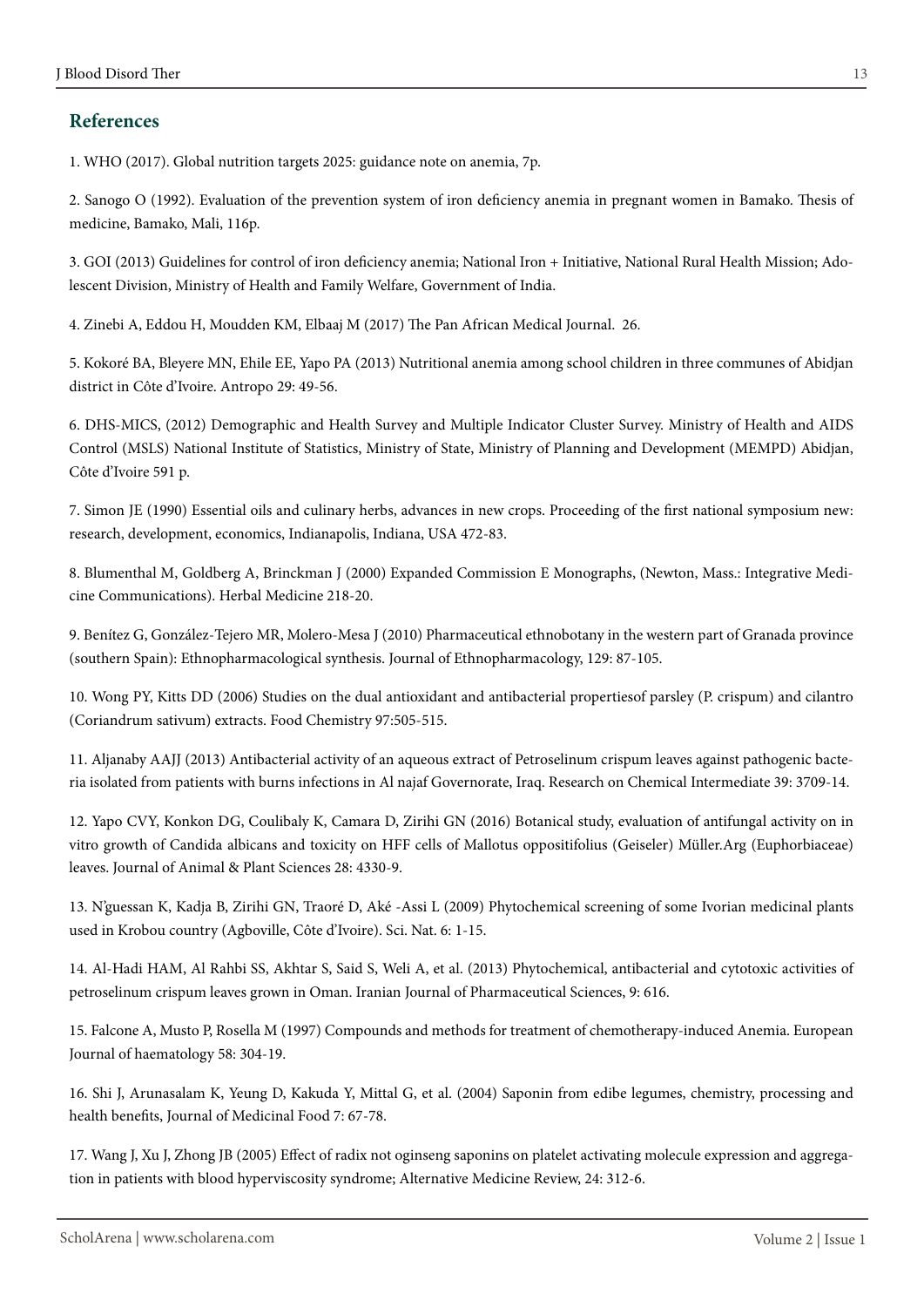# **References**

1. WHO (2017). Global nutrition targets 2025: guidance note on anemia, 7p.

2. Sanogo O (1992). Evaluation of the prevention system of iron deficiency anemia in pregnant women in Bamako. Thesis of medicine, Bamako, Mali, 116p.

3. GOI (2013) Guidelines for control of iron deficiency anemia; National Iron + Initiative, National Rural Health Mission; Adolescent Division, Ministry of Health and Family Welfare, Government of India.

4. Zinebi A, Eddou H, Moudden KM, Elbaaj M (2017) The Pan African Medical Journal. 26.

5. Kokoré BA, Bleyere MN, Ehile EE, Yapo PA (2013) Nutritional anemia among school children in three communes of Abidjan district in Côte d'Ivoire. Antropo 29: 49-56.

6. DHS-MICS, (2012) Demographic and Health Survey and Multiple Indicator Cluster Survey. Ministry of Health and AIDS Control (MSLS) National Institute of Statistics, Ministry of State, Ministry of Planning and Development (MEMPD) Abidjan, Côte d'Ivoire 591 p.

7. Simon JE (1990) Essential oils and culinary herbs, advances in new crops. Proceeding of the first national symposium new: research, development, economics, Indianapolis, Indiana, USA 472-83.

8. Blumenthal M, Goldberg A, Brinckman J (2000) Expanded Commission E Monographs, (Newton, Mass.: Integrative Medicine Communications). Herbal Medicine 218-20.

9. Benítez G, González-Tejero MR, Molero-Mesa J (2010) Pharmaceutical ethnobotany in the western part of Granada province (southern Spain): Ethnopharmacological synthesis. Journal of Ethnopharmacology, 129: 87-105.

10. Wong PY, Kitts DD (2006) Studies on the dual antioxidant and antibacterial propertiesof parsley (P. crispum) and cilantro (Coriandrum sativum) extracts. Food Chemistry 97:505-515.

11. Aljanaby AAJJ (2013) Antibacterial activity of an aqueous extract of Petroselinum crispum leaves against pathogenic bacteria isolated from patients with burns infections in Al najaf Governorate, Iraq. Research on Chemical Intermediate 39: 3709-14.

12. Yapo CVY, Konkon DG, Coulibaly K, Camara D, Zirihi GN (2016) Botanical study, evaluation of antifungal activity on in vitro growth of Candida albicans and toxicity on HFF cells of Mallotus oppositifolius (Geiseler) Müller.Arg (Euphorbiaceae) leaves. Journal of Animal & Plant Sciences 28: 4330-9.

13. N'guessan K, Kadja B, Zirihi GN, Traoré D, Aké -Assi L (2009) Phytochemical screening of some Ivorian medicinal plants used in Krobou country (Agboville, Côte d'Ivoire). Sci. Nat. 6: 1-15.

14. Al-Hadi HAM, Al Rahbi SS, Akhtar S, Said S, Weli A, et al. (2013) Phytochemical, antibacterial and cytotoxic activities of petroselinum crispum leaves grown in Oman. Iranian Journal of Pharmaceutical Sciences, 9: 616.

15. Falcone A, Musto P, Rosella M (1997) Compounds and methods for treatment of chemotherapy-induced Anemia. European Journal of haematology 58: 304-19.

16. Shi J, Arunasalam K, Yeung D, Kakuda Y, Mittal G, et al. (2004) Saponin from edibe legumes, chemistry, processing and health benefits, Journal of Medicinal Food 7: 67-78.

17. Wang J, Xu J, Zhong JB (2005) Effect of radix not oginseng saponins on platelet activating molecule expression and aggregation in patients with blood hyperviscosity syndrome; Alternative Medicine Review, 24: 312-6.